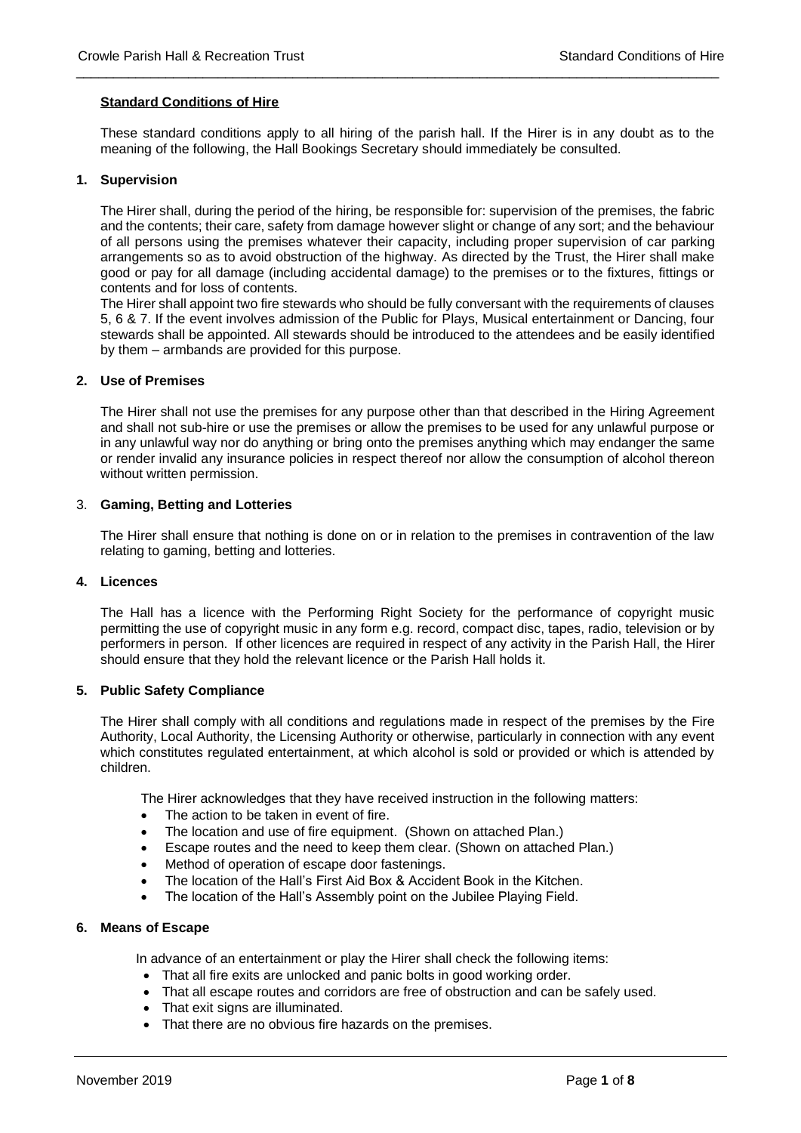## **Standard Conditions of Hire**

These standard conditions apply to all hiring of the parish hall. If the Hirer is in any doubt as to the meaning of the following, the Hall Bookings Secretary should immediately be consulted.

\_\_\_\_\_\_\_\_\_\_\_\_\_\_\_\_\_\_\_\_\_\_\_\_\_\_\_\_\_\_\_\_\_\_\_\_\_\_\_\_\_\_\_\_\_\_\_\_\_\_\_\_\_\_\_\_\_\_\_\_\_\_\_\_\_\_\_\_\_\_\_\_\_\_\_\_\_\_\_\_\_\_\_\_\_\_

## **1. Supervision**

The Hirer shall, during the period of the hiring, be responsible for: supervision of the premises, the fabric and the contents; their care, safety from damage however slight or change of any sort; and the behaviour of all persons using the premises whatever their capacity, including proper supervision of car parking arrangements so as to avoid obstruction of the highway. As directed by the Trust, the Hirer shall make good or pay for all damage (including accidental damage) to the premises or to the fixtures, fittings or contents and for loss of contents.

The Hirer shall appoint two fire stewards who should be fully conversant with the requirements of clauses 5, 6 & 7. If the event involves admission of the Public for Plays, Musical entertainment or Dancing, four stewards shall be appointed. All stewards should be introduced to the attendees and be easily identified by them – armbands are provided for this purpose.

#### **2. Use of Premises**

The Hirer shall not use the premises for any purpose other than that described in the Hiring Agreement and shall not sub-hire or use the premises or allow the premises to be used for any unlawful purpose or in any unlawful way nor do anything or bring onto the premises anything which may endanger the same or render invalid any insurance policies in respect thereof nor allow the consumption of alcohol thereon without written permission.

## 3. **Gaming, Betting and Lotteries**

The Hirer shall ensure that nothing is done on or in relation to the premises in contravention of the law relating to gaming, betting and lotteries.

# **4. Licences**

The Hall has a licence with the Performing Right Society for the performance of copyright music permitting the use of copyright music in any form e.g. record, compact disc, tapes, radio, television or by performers in person. If other licences are required in respect of any activity in the Parish Hall, the Hirer should ensure that they hold the relevant licence or the Parish Hall holds it.

## **5. Public Safety Compliance**

The Hirer shall comply with all conditions and regulations made in respect of the premises by the Fire Authority, Local Authority, the Licensing Authority or otherwise, particularly in connection with any event which constitutes regulated entertainment, at which alcohol is sold or provided or which is attended by children.

The Hirer acknowledges that they have received instruction in the following matters:

- The action to be taken in event of fire.
- The location and use of fire equipment. (Shown on attached Plan.)
- Escape routes and the need to keep them clear. (Shown on attached Plan.)
- Method of operation of escape door fastenings.
- The location of the Hall's First Aid Box & Accident Book in the Kitchen.
- The location of the Hall's Assembly point on the Jubilee Playing Field.

#### **6. Means of Escape**

In advance of an entertainment or play the Hirer shall check the following items:

- That all fire exits are unlocked and panic bolts in good working order.
- That all escape routes and corridors are free of obstruction and can be safely used.
- That exit signs are illuminated.
- That there are no obvious fire hazards on the premises.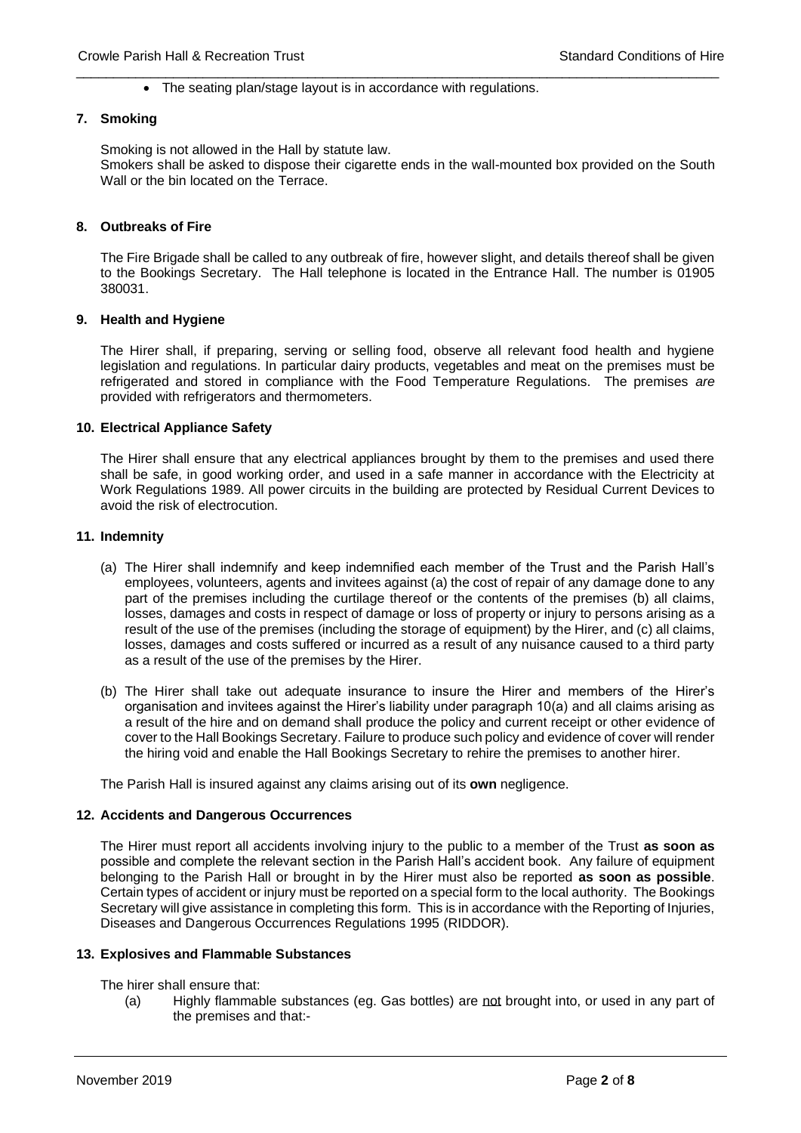\_\_\_\_\_\_\_\_\_\_\_\_\_\_\_\_\_\_\_\_\_\_\_\_\_\_\_\_\_\_\_\_\_\_\_\_\_\_\_\_\_\_\_\_\_\_\_\_\_\_\_\_\_\_\_\_\_\_\_\_\_\_\_\_\_\_\_\_\_\_\_\_\_\_\_\_\_\_\_\_\_\_\_\_\_\_ • The seating plan/stage layout is in accordance with regulations.

#### **7. Smoking**

Smoking is not allowed in the Hall by statute law. Smokers shall be asked to dispose their cigarette ends in the wall-mounted box provided on the South Wall or the bin located on the Terrace.

# **8. Outbreaks of Fire**

The Fire Brigade shall be called to any outbreak of fire, however slight, and details thereof shall be given to the Bookings Secretary. The Hall telephone is located in the Entrance Hall. The number is 01905 380031.

#### **9. Health and Hygiene**

The Hirer shall, if preparing, serving or selling food, observe all relevant food health and hygiene legislation and regulations. In particular dairy products, vegetables and meat on the premises must be refrigerated and stored in compliance with the Food Temperature Regulations. The premises *are* provided with refrigerators and thermometers.

#### **10. Electrical Appliance Safety**

The Hirer shall ensure that any electrical appliances brought by them to the premises and used there shall be safe, in good working order, and used in a safe manner in accordance with the Electricity at Work Regulations 1989. All power circuits in the building are protected by Residual Current Devices to avoid the risk of electrocution.

#### **11. Indemnity**

- (a) The Hirer shall indemnify and keep indemnified each member of the Trust and the Parish Hall's employees, volunteers, agents and invitees against (a) the cost of repair of any damage done to any part of the premises including the curtilage thereof or the contents of the premises (b) all claims, losses, damages and costs in respect of damage or loss of property or injury to persons arising as a result of the use of the premises (including the storage of equipment) by the Hirer, and (c) all claims, losses, damages and costs suffered or incurred as a result of any nuisance caused to a third party as a result of the use of the premises by the Hirer.
- (b) The Hirer shall take out adequate insurance to insure the Hirer and members of the Hirer's organisation and invitees against the Hirer's liability under paragraph 10(a) and all claims arising as a result of the hire and on demand shall produce the policy and current receipt or other evidence of cover to the Hall Bookings Secretary. Failure to produce such policy and evidence of cover will render the hiring void and enable the Hall Bookings Secretary to rehire the premises to another hirer.

The Parish Hall is insured against any claims arising out of its **own** negligence.

## **12. Accidents and Dangerous Occurrences**

The Hirer must report all accidents involving injury to the public to a member of the Trust **as soon as** possible and complete the relevant section in the Parish Hall's accident book. Any failure of equipment belonging to the Parish Hall or brought in by the Hirer must also be reported **as soon as possible**. Certain types of accident or injury must be reported on a special form to the local authority. The Bookings Secretary will give assistance in completing this form. This is in accordance with the Reporting of Injuries, Diseases and Dangerous Occurrences Regulations 1995 (RIDDOR).

#### **13. Explosives and Flammable Substances**

The hirer shall ensure that:

(a) Highly flammable substances (eg. Gas bottles) are not brought into, or used in any part of the premises and that:-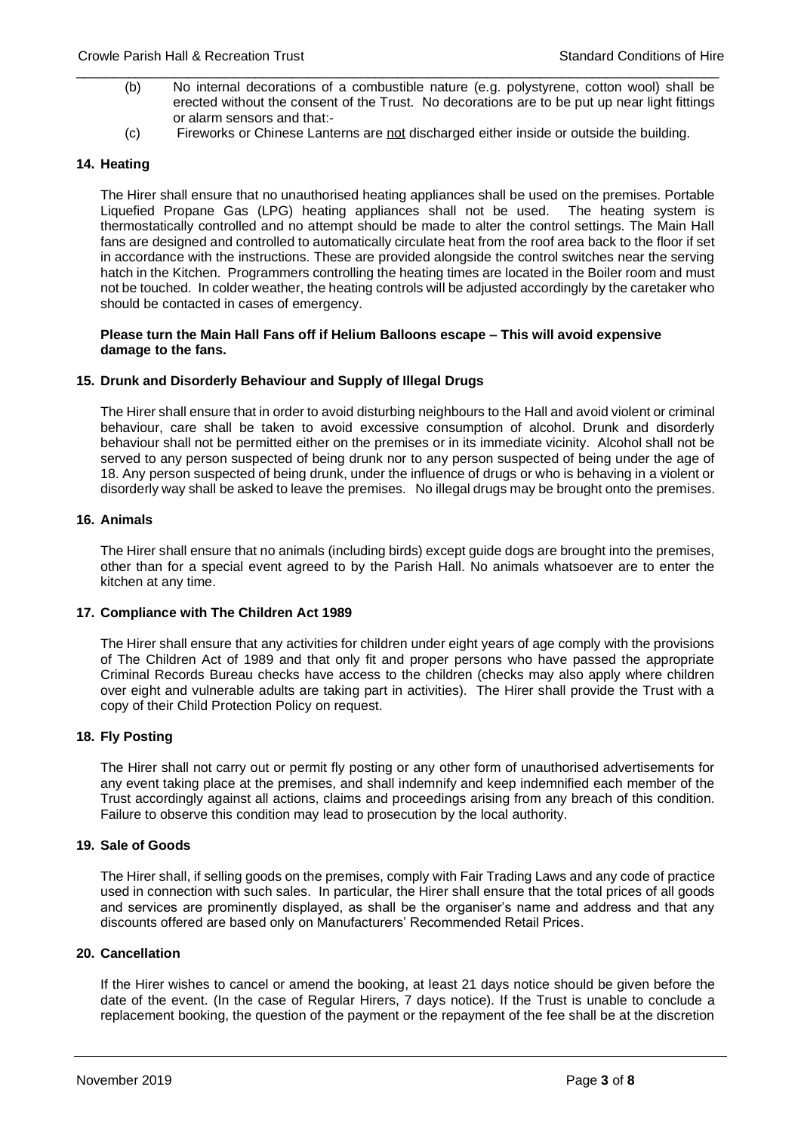- (b) No internal decorations of a combustible nature (e.g. polystyrene, cotton wool) shall be erected without the consent of the Trust. No decorations are to be put up near light fittings or alarm sensors and that:-
- (c) Fireworks or Chinese Lanterns are not discharged either inside or outside the building.

\_\_\_\_\_\_\_\_\_\_\_\_\_\_\_\_\_\_\_\_\_\_\_\_\_\_\_\_\_\_\_\_\_\_\_\_\_\_\_\_\_\_\_\_\_\_\_\_\_\_\_\_\_\_\_\_\_\_\_\_\_\_\_\_\_\_\_\_\_\_\_\_\_\_\_\_\_\_\_\_\_\_\_\_\_\_

# **14. Heating**

The Hirer shall ensure that no unauthorised heating appliances shall be used on the premises. Portable Liquefied Propane Gas (LPG) heating appliances shall not be used. The heating system is thermostatically controlled and no attempt should be made to alter the control settings. The Main Hall fans are designed and controlled to automatically circulate heat from the roof area back to the floor if set in accordance with the instructions. These are provided alongside the control switches near the serving hatch in the Kitchen. Programmers controlling the heating times are located in the Boiler room and must not be touched. In colder weather, the heating controls will be adjusted accordingly by the caretaker who should be contacted in cases of emergency.

**Please turn the Main Hall Fans off if Helium Balloons escape – This will avoid expensive damage to the fans.** 

## **15. Drunk and Disorderly Behaviour and Supply of Illegal Drugs**

The Hirer shall ensure that in order to avoid disturbing neighbours to the Hall and avoid violent or criminal behaviour, care shall be taken to avoid excessive consumption of alcohol. Drunk and disorderly behaviour shall not be permitted either on the premises or in its immediate vicinity. Alcohol shall not be served to any person suspected of being drunk nor to any person suspected of being under the age of 18. Any person suspected of being drunk, under the influence of drugs or who is behaving in a violent or disorderly way shall be asked to leave the premises. No illegal drugs may be brought onto the premises.

## **16. Animals**

The Hirer shall ensure that no animals (including birds) except guide dogs are brought into the premises, other than for a special event agreed to by the Parish Hall. No animals whatsoever are to enter the kitchen at any time.

# **17. Compliance with The Children Act 1989**

The Hirer shall ensure that any activities for children under eight years of age comply with the provisions of The Children Act of 1989 and that only fit and proper persons who have passed the appropriate Criminal Records Bureau checks have access to the children (checks may also apply where children over eight and vulnerable adults are taking part in activities). The Hirer shall provide the Trust with a copy of their Child Protection Policy on request.

# **18. Fly Posting**

The Hirer shall not carry out or permit fly posting or any other form of unauthorised advertisements for any event taking place at the premises, and shall indemnify and keep indemnified each member of the Trust accordingly against all actions, claims and proceedings arising from any breach of this condition. Failure to observe this condition may lead to prosecution by the local authority.

## **19. Sale of Goods**

The Hirer shall, if selling goods on the premises, comply with Fair Trading Laws and any code of practice used in connection with such sales. In particular, the Hirer shall ensure that the total prices of all goods and services are prominently displayed, as shall be the organiser's name and address and that any discounts offered are based only on Manufacturers' Recommended Retail Prices.

## **20. Cancellation**

If the Hirer wishes to cancel or amend the booking, at least 21 days notice should be given before the date of the event. (In the case of Regular Hirers, 7 days notice). If the Trust is unable to conclude a replacement booking, the question of the payment or the repayment of the fee shall be at the discretion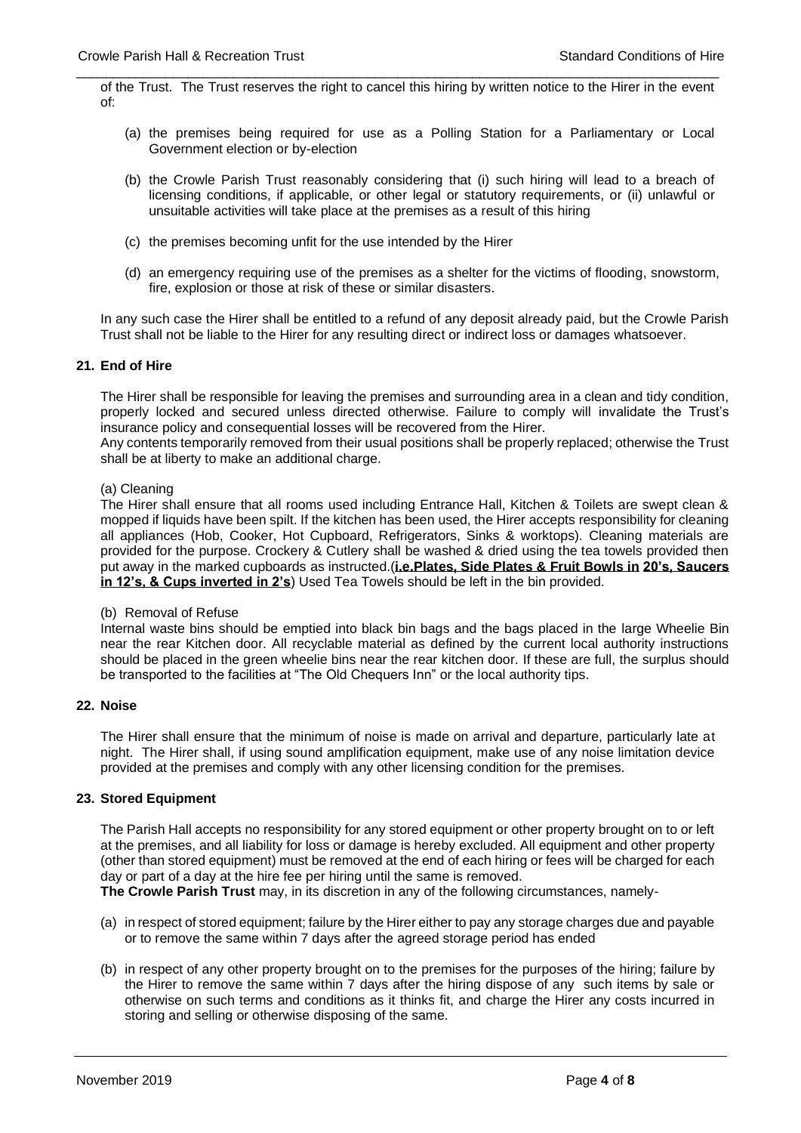\_\_\_\_\_\_\_\_\_\_\_\_\_\_\_\_\_\_\_\_\_\_\_\_\_\_\_\_\_\_\_\_\_\_\_\_\_\_\_\_\_\_\_\_\_\_\_\_\_\_\_\_\_\_\_\_\_\_\_\_\_\_\_\_\_\_\_\_\_\_\_\_\_\_\_\_\_\_\_\_\_\_\_\_\_\_ of the Trust. The Trust reserves the right to cancel this hiring by written notice to the Hirer in the event of:

- (a) the premises being required for use as a Polling Station for a Parliamentary or Local Government election or by-election
- (b) the Crowle Parish Trust reasonably considering that (i) such hiring will lead to a breach of licensing conditions, if applicable, or other legal or statutory requirements, or (ii) unlawful or unsuitable activities will take place at the premises as a result of this hiring
- (c) the premises becoming unfit for the use intended by the Hirer
- (d) an emergency requiring use of the premises as a shelter for the victims of flooding, snowstorm, fire, explosion or those at risk of these or similar disasters.

In any such case the Hirer shall be entitled to a refund of any deposit already paid, but the Crowle Parish Trust shall not be liable to the Hirer for any resulting direct or indirect loss or damages whatsoever.

## **21. End of Hire**

The Hirer shall be responsible for leaving the premises and surrounding area in a clean and tidy condition, properly locked and secured unless directed otherwise. Failure to comply will invalidate the Trust's insurance policy and consequential losses will be recovered from the Hirer.

Any contents temporarily removed from their usual positions shall be properly replaced; otherwise the Trust shall be at liberty to make an additional charge.

#### (a) Cleaning

The Hirer shall ensure that all rooms used including Entrance Hall, Kitchen & Toilets are swept clean & mopped if liquids have been spilt. If the kitchen has been used, the Hirer accepts responsibility for cleaning all appliances (Hob, Cooker, Hot Cupboard, Refrigerators, Sinks & worktops). Cleaning materials are provided for the purpose. Crockery & Cutlery shall be washed & dried using the tea towels provided then put away in the marked cupboards as instructed.(**i.e.Plates, Side Plates & Fruit Bowls in 20's, Saucers in 12's, & Cups inverted in 2's**) Used Tea Towels should be left in the bin provided.

# (b) Removal of Refuse

Internal waste bins should be emptied into black bin bags and the bags placed in the large Wheelie Bin near the rear Kitchen door. All recyclable material as defined by the current local authority instructions should be placed in the green wheelie bins near the rear kitchen door. If these are full, the surplus should be transported to the facilities at "The Old Chequers Inn" or the local authority tips.

## **22. Noise**

The Hirer shall ensure that the minimum of noise is made on arrival and departure, particularly late at night. The Hirer shall, if using sound amplification equipment, make use of any noise limitation device provided at the premises and comply with any other licensing condition for the premises.

## **23. Stored Equipment**

The Parish Hall accepts no responsibility for any stored equipment or other property brought on to or left at the premises, and all liability for loss or damage is hereby excluded. All equipment and other property (other than stored equipment) must be removed at the end of each hiring or fees will be charged for each day or part of a day at the hire fee per hiring until the same is removed.

**The Crowle Parish Trust** may, in its discretion in any of the following circumstances, namely-

- (a) in respect of stored equipment; failure by the Hirer either to pay any storage charges due and payable or to remove the same within 7 days after the agreed storage period has ended
- (b) in respect of any other property brought on to the premises for the purposes of the hiring; failure by the Hirer to remove the same within 7 days after the hiring dispose of any such items by sale or otherwise on such terms and conditions as it thinks fit, and charge the Hirer any costs incurred in storing and selling or otherwise disposing of the same.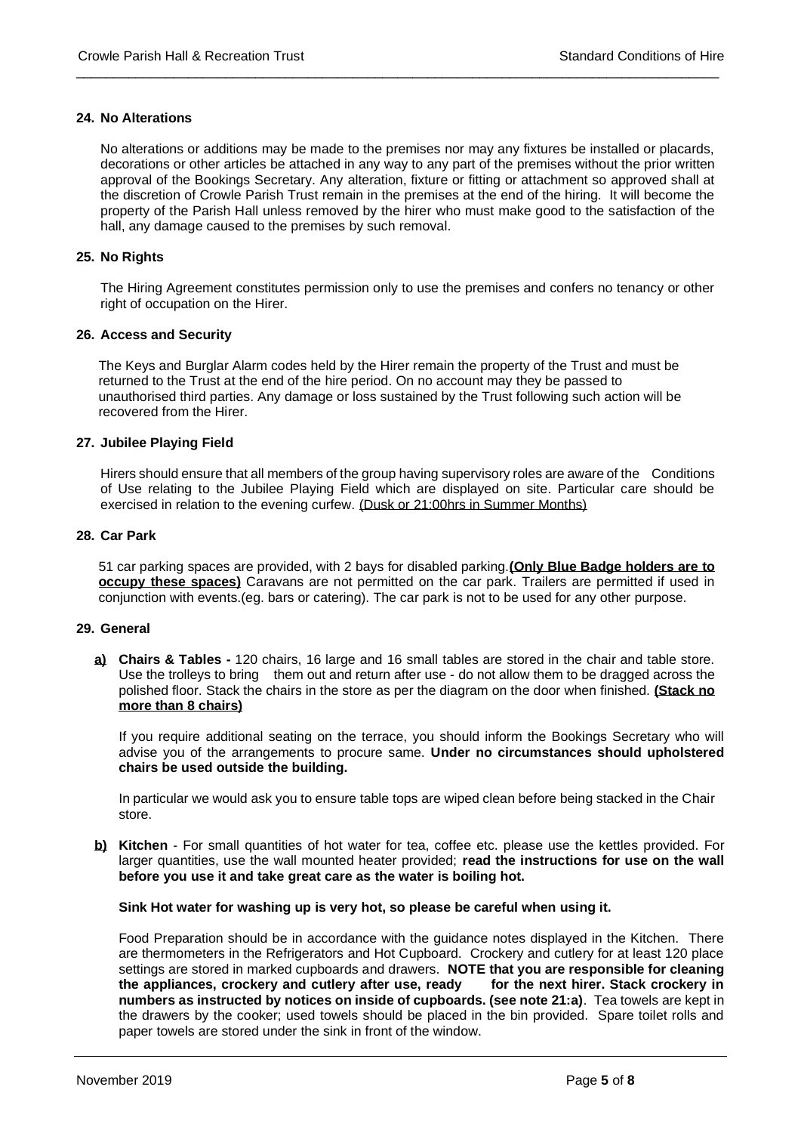# **24. No Alterations**

No alterations or additions may be made to the premises nor may any fixtures be installed or placards, decorations or other articles be attached in any way to any part of the premises without the prior written approval of the Bookings Secretary. Any alteration, fixture or fitting or attachment so approved shall at the discretion of Crowle Parish Trust remain in the premises at the end of the hiring. It will become the property of the Parish Hall unless removed by the hirer who must make good to the satisfaction of the hall, any damage caused to the premises by such removal.

\_\_\_\_\_\_\_\_\_\_\_\_\_\_\_\_\_\_\_\_\_\_\_\_\_\_\_\_\_\_\_\_\_\_\_\_\_\_\_\_\_\_\_\_\_\_\_\_\_\_\_\_\_\_\_\_\_\_\_\_\_\_\_\_\_\_\_\_\_\_\_\_\_\_\_\_\_\_\_\_\_\_\_\_\_\_

# **25. No Rights**

The Hiring Agreement constitutes permission only to use the premises and confers no tenancy or other right of occupation on the Hirer.

# **26. Access and Security**

The Keys and Burglar Alarm codes held by the Hirer remain the property of the Trust and must be returned to the Trust at the end of the hire period. On no account may they be passed to unauthorised third parties. Any damage or loss sustained by the Trust following such action will be recovered from the Hirer.

# **27. Jubilee Playing Field**

Hirers should ensure that all members of the group having supervisory roles are aware of the Conditions of Use relating to the Jubilee Playing Field which are displayed on site. Particular care should be exercised in relation to the evening curfew. (Dusk or 21:00hrs in Summer Months)

## **28. Car Park**

51 car parking spaces are provided, with 2 bays for disabled parking.**(Only Blue Badge holders are to occupy these spaces)** Caravans are not permitted on the car park. Trailers are permitted if used in conjunction with events.(eg. bars or catering). The car park is not to be used for any other purpose.

## **29. General**

**a) Chairs & Tables -** 120 chairs, 16 large and 16 small tables are stored in the chair and table store. Use the trolleys to bring them out and return after use - do not allow them to be dragged across the polished floor. Stack the chairs in the store as per the diagram on the door when finished. **(Stack no more than 8 chairs)**

If you require additional seating on the terrace, you should inform the Bookings Secretary who will advise you of the arrangements to procure same. **Under no circumstances should upholstered chairs be used outside the building.**

In particular we would ask you to ensure table tops are wiped clean before being stacked in the Chair store.

**b) Kitchen** - For small quantities of hot water for tea, coffee etc. please use the kettles provided. For larger quantities, use the wall mounted heater provided; **read the instructions for use on the wall before you use it and take great care as the water is boiling hot.**

## **Sink Hot water for washing up is very hot, so please be careful when using it.**

Food Preparation should be in accordance with the guidance notes displayed in the Kitchen. There are thermometers in the Refrigerators and Hot Cupboard. Crockery and cutlery for at least 120 place settings are stored in marked cupboards and drawers. **NOTE that you are responsible for cleaning the appliances, crockery and cutlery after use, ready for the next hirer. Stack crockery in numbers as instructed by notices on inside of cupboards. (see note 21:a)**. Tea towels are kept in the drawers by the cooker; used towels should be placed in the bin provided. Spare toilet rolls and paper towels are stored under the sink in front of the window.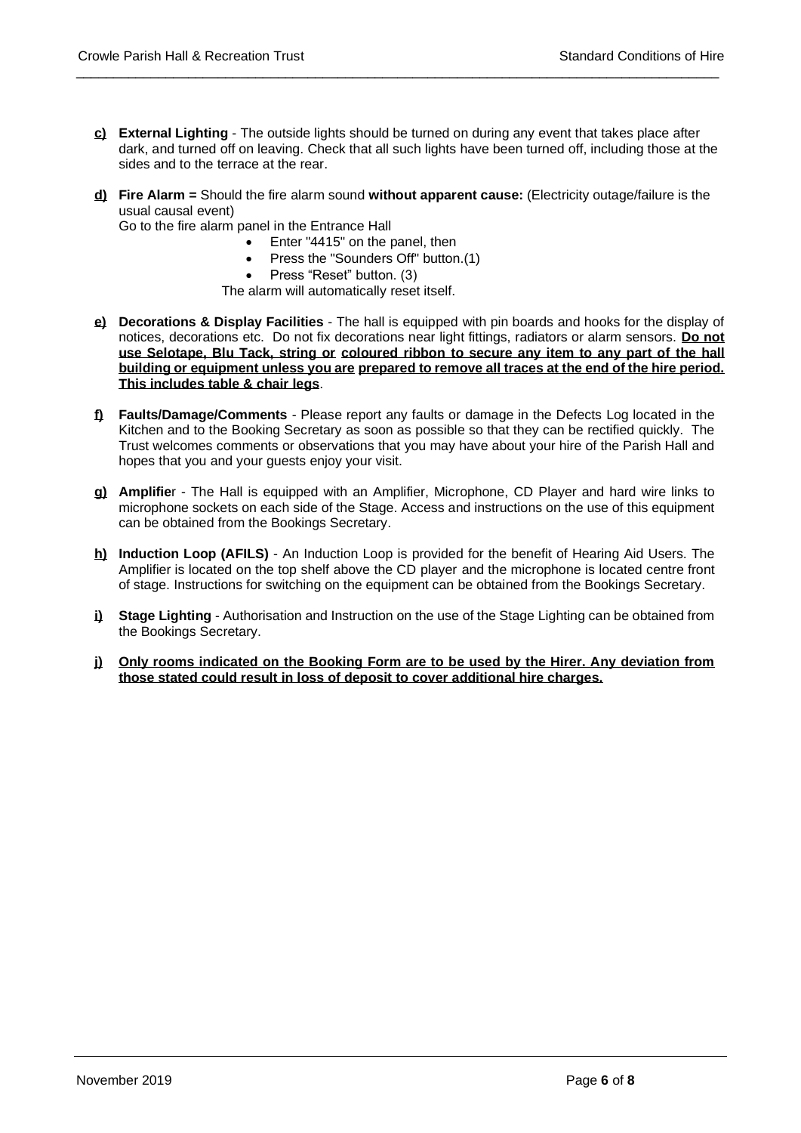**c) External Lighting** - The outside lights should be turned on during any event that takes place after dark, and turned off on leaving. Check that all such lights have been turned off, including those at the sides and to the terrace at the rear.

\_\_\_\_\_\_\_\_\_\_\_\_\_\_\_\_\_\_\_\_\_\_\_\_\_\_\_\_\_\_\_\_\_\_\_\_\_\_\_\_\_\_\_\_\_\_\_\_\_\_\_\_\_\_\_\_\_\_\_\_\_\_\_\_\_\_\_\_\_\_\_\_\_\_\_\_\_\_\_\_\_\_\_\_\_\_

**d) Fire Alarm =** Should the fire alarm sound **without apparent cause:** (Electricity outage/failure is the usual causal event)

Go to the fire alarm panel in the Entrance Hall

- Enter "4415" on the panel, then
- Press the "Sounders Off" button.(1)
- Press "Reset" button. (3)

The alarm will automatically reset itself.

- **e) Decorations & Display Facilities** The hall is equipped with pin boards and hooks for the display of notices, decorations etc. Do not fix decorations near light fittings, radiators or alarm sensors. **Do not use Selotape, Blu Tack, string or coloured ribbon to secure any item to any part of the hall building or equipment unless you are prepared to remove all traces at the end of the hire period. This includes table & chair legs**.
- **f) Faults/Damage/Comments** Please report any faults or damage in the Defects Log located in the Kitchen and to the Booking Secretary as soon as possible so that they can be rectified quickly. The Trust welcomes comments or observations that you may have about your hire of the Parish Hall and hopes that you and your guests enjoy your visit.
- **g) Amplifie**r The Hall is equipped with an Amplifier, Microphone, CD Player and hard wire links to microphone sockets on each side of the Stage. Access and instructions on the use of this equipment can be obtained from the Bookings Secretary.
- **h) Induction Loop (AFILS)** An Induction Loop is provided for the benefit of Hearing Aid Users. The Amplifier is located on the top shelf above the CD player and the microphone is located centre front of stage. Instructions for switching on the equipment can be obtained from the Bookings Secretary.
- **i) Stage Lighting** Authorisation and Instruction on the use of the Stage Lighting can be obtained from the Bookings Secretary.
- **j) Only rooms indicated on the Booking Form are to be used by the Hirer. Any deviation from those stated could result in loss of deposit to cover additional hire charges.**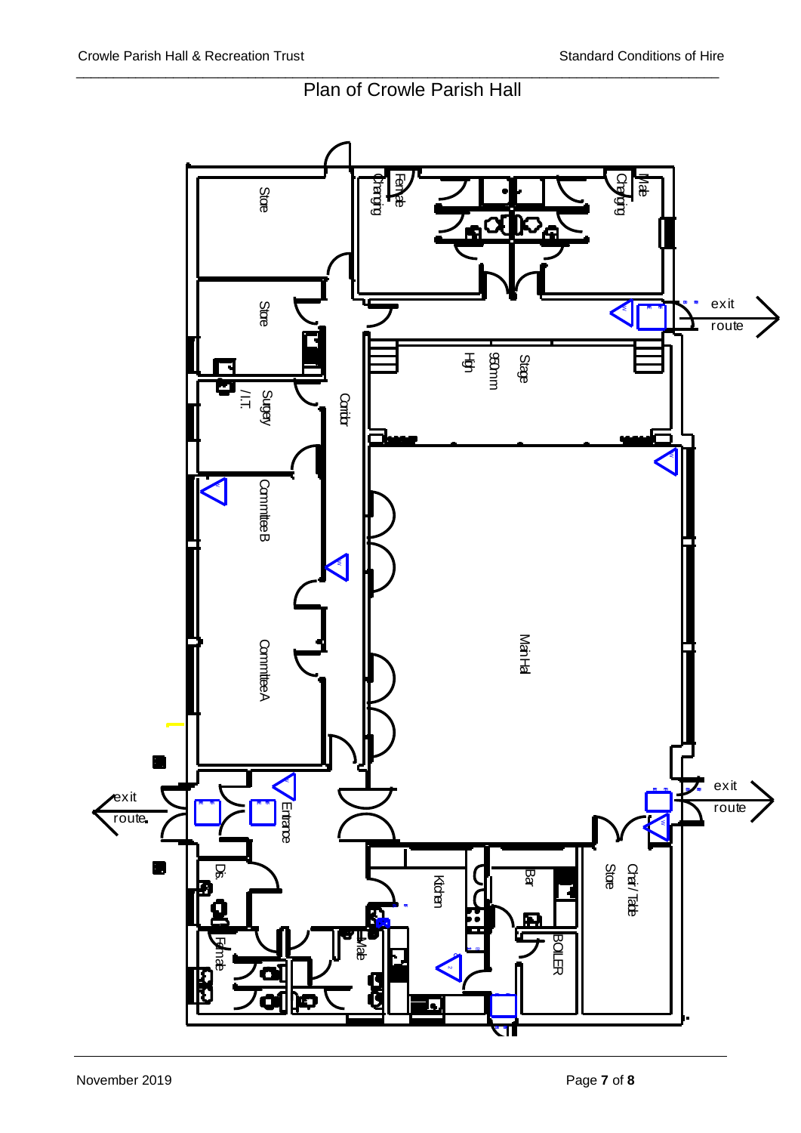

# Plan of Crowle Parish Hall

\_\_\_\_\_\_\_\_\_\_\_\_\_\_\_\_\_\_\_\_\_\_\_\_\_\_\_\_\_\_\_\_\_\_\_\_\_\_\_\_\_\_\_\_\_\_\_\_\_\_\_\_\_\_\_\_\_\_\_\_\_\_\_\_\_\_\_\_\_\_\_\_\_\_\_\_\_\_\_\_\_\_\_\_\_\_